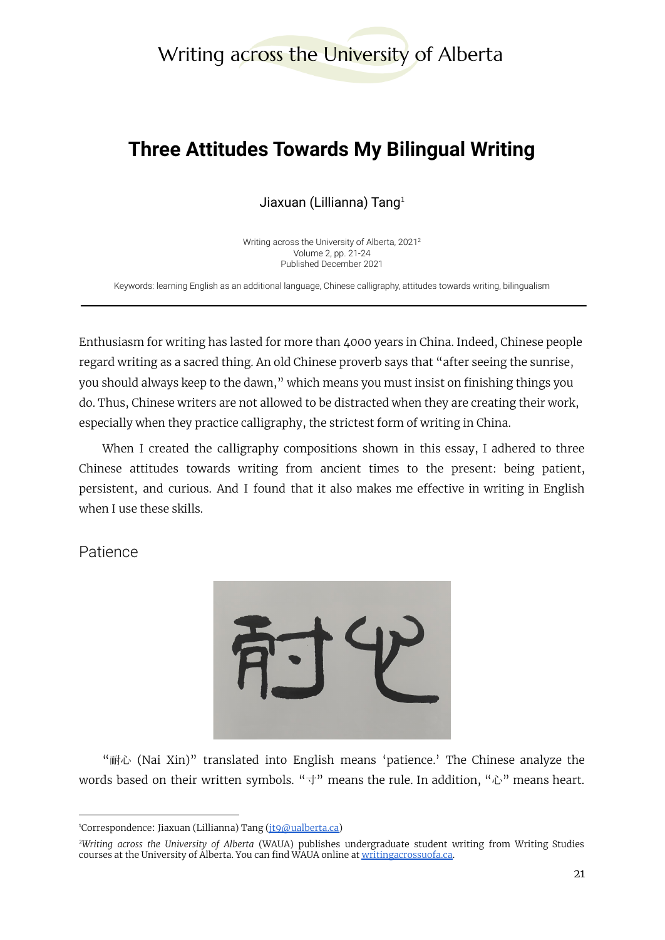# Writing across the University of Alberta

# **Three Attitudes Towards My Bilingual Writing**

Jiaxuan (Lillianna) Tang $1$ 

Writing across the University of Alberta, 2021 2 Volume 2, pp. 21-24 Published December 2021

Keywords: learning English as an additional language, Chinese calligraphy, attitudes towards writing, bilingualism

Enthusiasm for writing has lasted for more than 4000 years in China. Indeed, Chinese people regard writing as a sacred thing. An old Chinese proverb says that "after seeing the sunrise, you should always keep to the dawn," which means you must insist on finishing things you do. Thus, Chinese writers are not allowed to be distracted when they are creating their work, especially when they practice calligraphy, the strictest form of writing in China.

When I created the calligraphy compositions shown in this essay, I adhered to three Chinese attitudes towards writing from ancient times to the present: being patient, persistent, and curious. And I found that it also makes me effective in writing in English when I use these skills.

Patience



"耐心 (Nai Xin)" translated into English means 'patience.' The Chinese analyze the words based on their written symbols. " $\pm$ " means the rule. In addition, " $\triangle$ " means heart.

<sup>&</sup>lt;sup>1</sup>Correspondence: Jiaxuan (Lillianna) Tang ( $it9@$ ualberta.ca)

*<sup>2</sup>Writing across the University of Alberta* (WAUA) publishes undergraduate student writing from Writing Studies courses at the University of Alberta. You can find WAUA online at [writingacrossuofa.ca.](https://writingacrossuofa.ca/)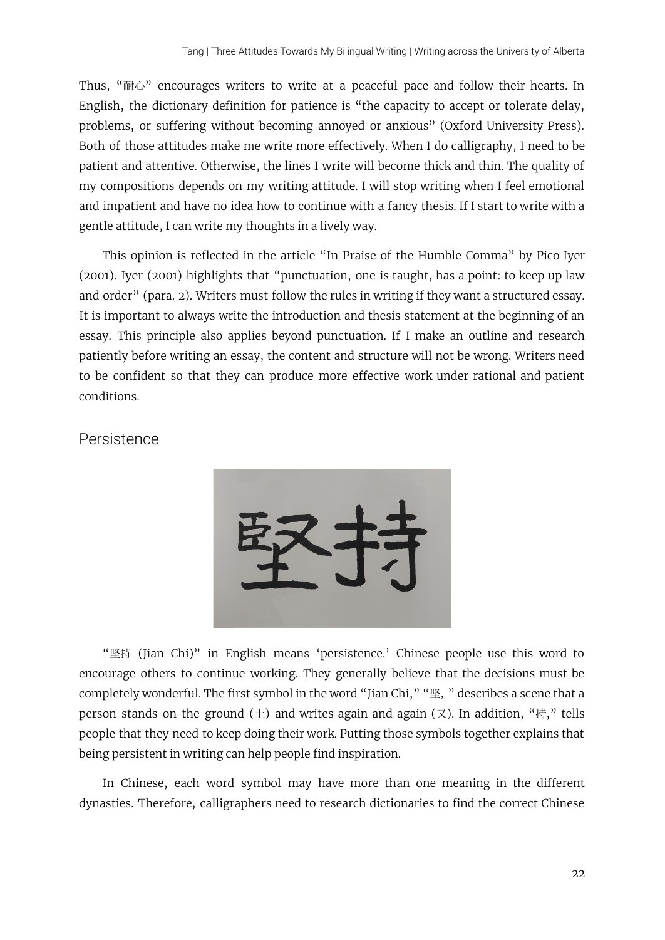Thus, "耐心" encourages writers to write at a peaceful pace and follow their hearts. In English, the dictionary definition for patience is "the capacity to accept or tolerate delay, problems, or suffering without becoming annoyed or anxious" (Oxford University Press). Both of those attitudes make me write more effectively. When I do calligraphy, I need to be patient and attentive. Otherwise, the lines I write will become thick and thin. The quality of my compositions depends on my writing attitude. I will stop writing when I feel emotional and impatient and have no idea how to continue with a fancy thesis. If I start to write with a gentle attitude, I can write my thoughts in a lively way.

This opinion is reflected in the article "In Praise of the Humble Comma" by Pico Iyer (2001). Iyer (2001) highlights that "punctuation, one is taught, has a point: to keep up law and order" (para. 2). Writers must follow the rules in writing if they want a structured essay. It is important to always write the introduction and thesis statement at the beginning of an essay. This principle also applies beyond punctuation. If I make an outline and research patiently before writing an essay, the content and structure will not be wrong. Writers need to be confident so that they can produce more effective work under rational and patient conditions.

#### **Persistence**



"坚持 (Jian Chi)" in English means 'persistence.' Chinese people use this word to encourage others to continue working. They generally believe that the decisions must be completely wonderful. The first symbol in the word "Jian Chi," "坚," describes a scene that a person stands on the ground ( $\pm$ ) and writes again and again (又). In addition, "持," tells people that they need to keep doing their work. Putting those symbols together explains that being persistent in writing can help people find inspiration.

In Chinese, each word symbol may have more than one meaning in the different dynasties. Therefore, calligraphers need to research dictionaries to find the correct Chinese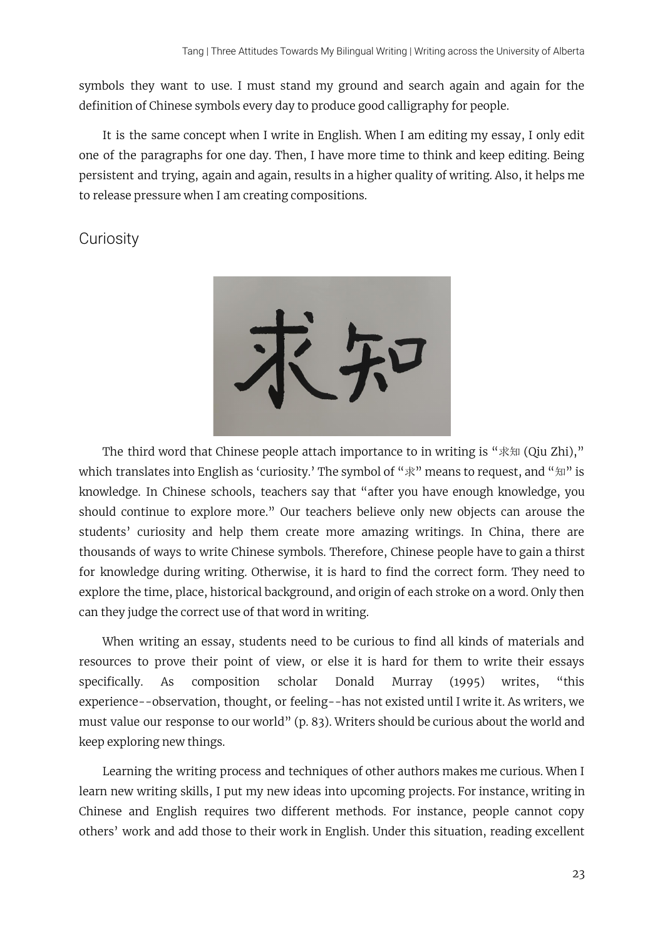symbols they want to use. I must stand my ground and search again and again for the definition of Chinese symbols every day to produce good calligraphy for people.

It is the same concept when I write in English. When I am editing my essay, I only edit one of the paragraphs for one day. Then, I have more time to think and keep editing. Being persistent and trying, again and again, results in a higher quality of writing. Also, it helps me to release pressure when I am creating compositions.

### **Curiosity**



The third word that Chinese people attach importance to in writing is "求知 (Qiu Zhi)," which translates into English as 'curiosity.' The symbol of " $\mathbb{R}$ " means to request, and " $\mathbb{H}$ " is knowledge. In Chinese schools, teachers say that "after you have enough knowledge, you should continue to explore more." Our teachers believe only new objects can arouse the students' curiosity and help them create more amazing writings. In China, there are thousands of ways to write Chinese symbols. Therefore, Chinese people have to gain a thirst for knowledge during writing. Otherwise, it is hard to find the correct form. They need to explore the time, place, historical background, and origin of each stroke on a word. Only then can they judge the correct use of that word in writing.

When writing an essay, students need to be curious to find all kinds of materials and resources to prove their point of view, or else it is hard for them to write their essays specifically. As composition scholar Donald Murray (1995) writes, "this experience--observation, thought, or feeling--has not existed until I write it. As writers, we must value our response to our world" (p. 83). Writers should be curious about the world and keep exploring new things.

Learning the writing process and techniques of other authors makes me curious. When I learn new writing skills, I put my new ideas into upcoming projects. For instance, writing in Chinese and English requires two different methods. For instance, people cannot copy others' work and add those to their work in English. Under this situation, reading excellent